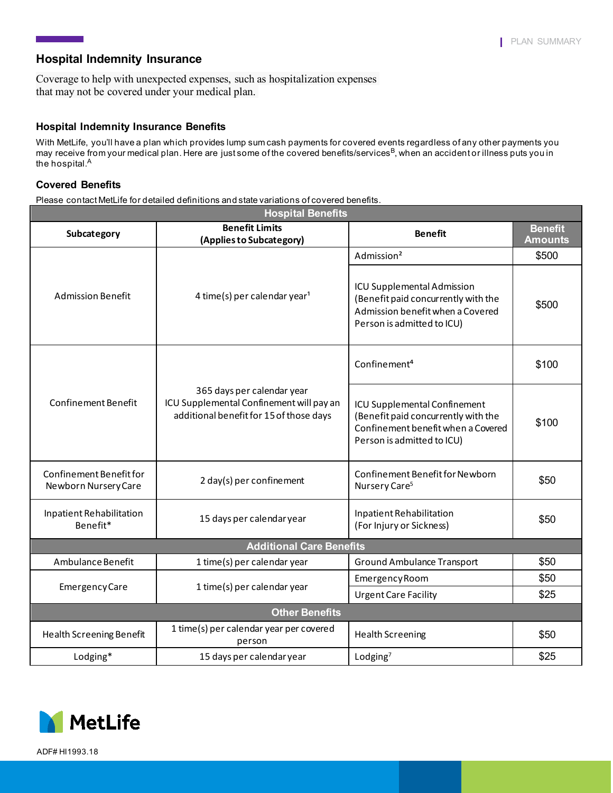## **Hospital Indemnity Insurance**

Coverage to help with unexpected expenses, such as hospitalization expenses that may not be covered under your medical plan.

#### **Hospital Indemnity Insurance Benefits**

With MetLife, you'll have a plan which provides lump sum cash payments for covered events regardless of any other payments you may receive from your medical plan. Here are just some of the covered benefits/services<sup>B</sup>, when an accident or illness puts you in the hospital.<sup>A</sup>

### **Covered Benefits**

Please contact MetLife for detailed definitions and state variations of covered benefits.

| <b>Hospital Benefits</b>                        |                                                                                                                   |                                                                                                                                         |                                  |  |
|-------------------------------------------------|-------------------------------------------------------------------------------------------------------------------|-----------------------------------------------------------------------------------------------------------------------------------------|----------------------------------|--|
| Subcategory                                     | <b>Benefit Limits</b><br>(Applies to Subcategory)                                                                 | <b>Benefit</b>                                                                                                                          | <b>Benefit</b><br><b>Amounts</b> |  |
| <b>Admission Benefit</b>                        | 4 time(s) per calendar year <sup>1</sup>                                                                          | Admission <sup>2</sup>                                                                                                                  | \$500                            |  |
|                                                 |                                                                                                                   | ICU Supplemental Admission<br>(Benefit paid concurrently with the<br>Admission benefit when a Covered<br>Person is admitted to ICU)     | \$500                            |  |
| <b>Confinement Benefit</b>                      | 365 days per calendar year<br>ICU Supplemental Confinement will pay an<br>additional benefit for 15 of those days | Confinement <sup>4</sup>                                                                                                                | \$100                            |  |
|                                                 |                                                                                                                   | ICU Supplemental Confinement<br>(Benefit paid concurrently with the<br>Confinement benefit when a Covered<br>Person is admitted to ICU) | \$100                            |  |
| Confinement Benefit for<br>Newborn Nursery Care | 2 day(s) per confinement                                                                                          | Confinement Benefit for Newborn<br>Nursery Care <sup>5</sup>                                                                            | \$50                             |  |
| Inpatient Rehabilitation<br>Benefit*            | 15 days per calendar year                                                                                         | Inpatient Rehabilitation<br>(For Injury or Sickness)                                                                                    | \$50                             |  |
| <b>Additional Care Benefits</b>                 |                                                                                                                   |                                                                                                                                         |                                  |  |
| Ambulance Benefit                               | 1 time(s) per calendar year                                                                                       | Ground Ambulance Transport                                                                                                              | \$50                             |  |
| <b>Emergency Care</b>                           | 1 time(s) per calendar year                                                                                       | Emergency Room                                                                                                                          | \$50                             |  |
|                                                 |                                                                                                                   | <b>Urgent Care Facility</b>                                                                                                             | \$25                             |  |
| <b>Other Benefits</b>                           |                                                                                                                   |                                                                                                                                         |                                  |  |
| Health Screening Benefit                        | 1 time(s) per calendar year per covered<br>person                                                                 | <b>Health Screening</b>                                                                                                                 | \$50                             |  |
| Lodging*                                        | 15 days per calendar year                                                                                         | Lodging $7$                                                                                                                             | \$25                             |  |



ADF# HI1993.18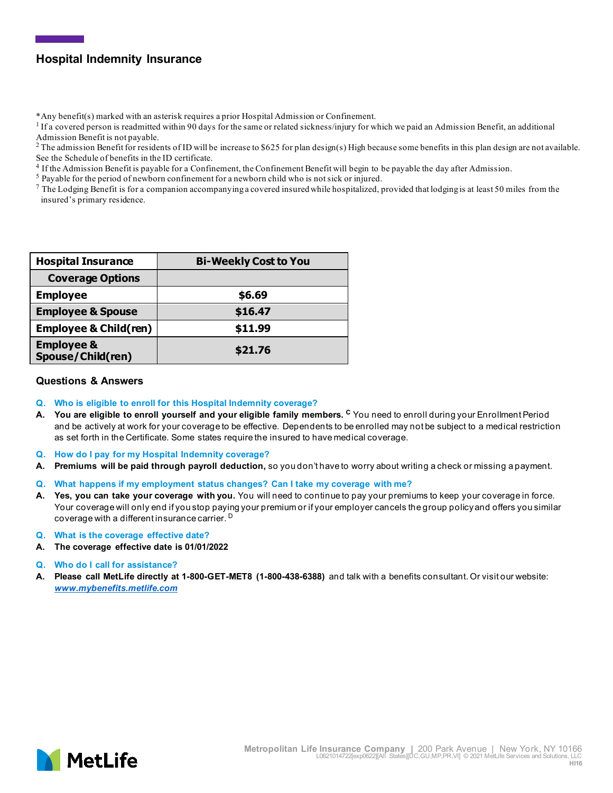# **Hospital Indemnity Insurance**

\*Any benefit(s) marked with an asterisk requires a prior Hospital Admission or Confinement.

 $<sup>1</sup>$  If a covered person is readmitted within 90 days for the same or related sickness/injury for which we paid an Admission Benefit, an additional</sup> Admission Benefit is not payable.

 $2$  The admission Benefit for residents of ID will be increase to \$625 for plan design(s) High because some benefits in this plan design are not available. See the Schedule of benefits in the ID certificate.

<sup>4</sup> If the Admission Benefit is payable for a Confinement, the Confinement Benefit will begin to be payable the day after Admission.<br><sup>5</sup> Payable for the period of newborn confinement for a newborn child who is not sick or

 $^7$  The Lodging Benefit is for a companion accompanying a covered insured while hospitalized, provided that lodging is at least 50 miles from the insured's primary residence.

| <b>Hospital Insurance</b>                  | <b>Bi-Weekly Cost to You</b> |  |
|--------------------------------------------|------------------------------|--|
| <b>Coverage Options</b>                    |                              |  |
| <b>Employee</b>                            | \$6.69                       |  |
| <b>Employee &amp; Spouse</b>               | \$16.47                      |  |
| <b>Employee &amp; Child(ren)</b>           | \$11.99                      |  |
| <b>Employee &amp;</b><br>Spouse/Child(ren) | \$21.76                      |  |

#### **Questions & Answers**

- **Q. Who is eligible to enroll for this Hospital Indemnity coverage?**
- **A. You are eligible to enroll yourself and your eligible family members. <sup>C</sup>** You need to enroll during your Enrollment Period and be actively at work for your coverage to be effective. Dependents to be enrolled may not be subject to a medical restriction as set forth in the Certificate. Some states require the insured to have medical coverage.
- **Q. How do I pay for my Hospital Indemnity coverage?**
- **A. Premiums will be paid through payroll deduction,** so you don't have to worry about writing a check or missing a payment.
- **Q. What happens if my employment status changes? Can I take my coverage with me?**
- **A. Yes, you can take your coverage with you.** You will need to continue to pay your premiums to keep your coverage in force. Your coverage will only end if you stop paying your premium or if your employer cancels the group policy and offers you similar coverage with a different insurance carrier. <sup>D</sup>
- **Q. What is the coverage effective date?**
- **A. The coverage effective date is 01/01/2022**
- **Q. Who do I call for assistance?**
- **A. Please call MetLife directly at 1-800-GET-MET8 (1-800-438-6388)** and talk with a benefits consultant. Or visit our website: *[www.mybenefits.metlife.com](http://www.mybenefits.metlife.com/)*